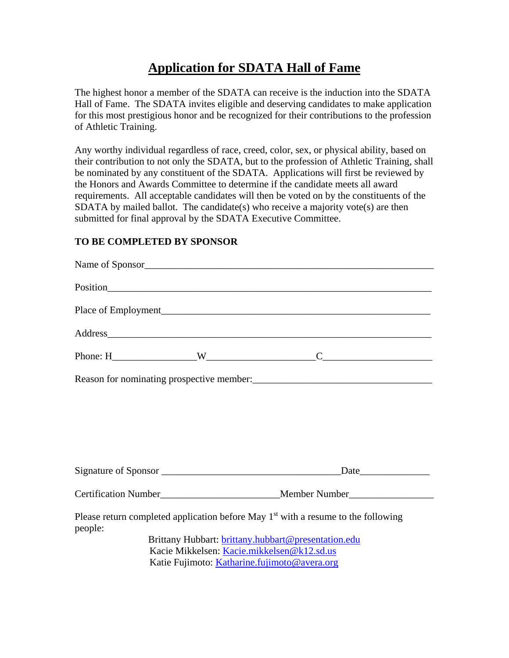# **Application for SDATA Hall of Fame**

The highest honor a member of the SDATA can receive is the induction into the SDATA Hall of Fame. The SDATA invites eligible and deserving candidates to make application for this most prestigious honor and be recognized for their contributions to the profession of Athletic Training.

Any worthy individual regardless of race, creed, color, sex, or physical ability, based on their contribution to not only the SDATA, but to the profession of Athletic Training, shall be nominated by any constituent of the SDATA. Applications will first be reviewed by the Honors and Awards Committee to determine if the candidate meets all award requirements. All acceptable candidates will then be voted on by the constituents of the SDATA by mailed ballot. The candidate(s) who receive a majority vote(s) are then submitted for final approval by the SDATA Executive Committee.

# **TO BE COMPLETED BY SPONSOR**

|                                            |                                                     | Name of Sponsor                                                                               |  |  |
|--------------------------------------------|-----------------------------------------------------|-----------------------------------------------------------------------------------------------|--|--|
|                                            |                                                     |                                                                                               |  |  |
|                                            |                                                     |                                                                                               |  |  |
|                                            |                                                     | Address                                                                                       |  |  |
|                                            |                                                     |                                                                                               |  |  |
|                                            |                                                     |                                                                                               |  |  |
|                                            |                                                     |                                                                                               |  |  |
|                                            |                                                     |                                                                                               |  |  |
|                                            |                                                     |                                                                                               |  |  |
|                                            |                                                     |                                                                                               |  |  |
|                                            |                                                     | Certification Number<br>Member Number<br>Member Number                                        |  |  |
| people:                                    |                                                     | Please return completed application before May 1 <sup>st</sup> with a resume to the following |  |  |
|                                            |                                                     | Brittany Hubbart: brittany.hubbart@presentation.edu                                           |  |  |
| Kacie Mikkelsen: Kacie.mikkelsen@k12.sd.us |                                                     |                                                                                               |  |  |
|                                            | Katie Fujimoto: <i>Katharine.fujimoto@avera.org</i> |                                                                                               |  |  |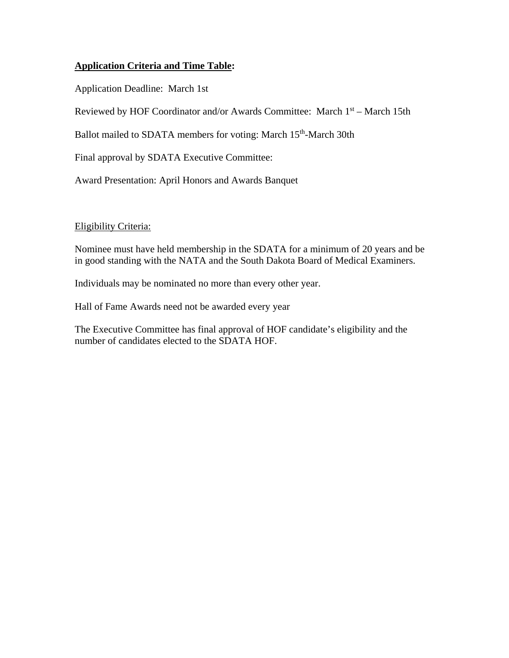# **Application Criteria and Time Table:**

Application Deadline: March 1st

Reviewed by HOF Coordinator and/or Awards Committee: March 1st – March 15th

Ballot mailed to SDATA members for voting: March 15<sup>th</sup>-March 30th

Final approval by SDATA Executive Committee:

Award Presentation: April Honors and Awards Banquet

# Eligibility Criteria:

Nominee must have held membership in the SDATA for a minimum of 20 years and be in good standing with the NATA and the South Dakota Board of Medical Examiners.

Individuals may be nominated no more than every other year.

Hall of Fame Awards need not be awarded every year

The Executive Committee has final approval of HOF candidate's eligibility and the number of candidates elected to the SDATA HOF.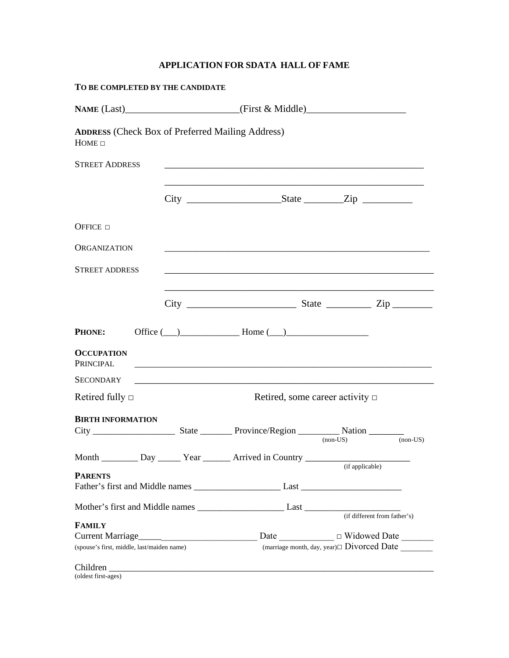# **APPLICATION FOR SDATA HALL OF FAME**

| TO BE COMPLETED BY THE CANDIDATE                                       |                                                                                                                  |                                                     |          |
|------------------------------------------------------------------------|------------------------------------------------------------------------------------------------------------------|-----------------------------------------------------|----------|
|                                                                        | NAME (Last)_________________________(First & Middle)____________________________                                 |                                                     |          |
| <b>ADDRESS</b> (Check Box of Preferred Mailing Address)<br>$HOME \Box$ |                                                                                                                  |                                                     |          |
| <b>STREET ADDRESS</b>                                                  | and the control of the control of the control of the control of the control of the control of the control of the |                                                     |          |
|                                                                        |                                                                                                                  |                                                     |          |
| OFFICE $\Box$                                                          |                                                                                                                  |                                                     |          |
| <b>ORGANIZATION</b>                                                    |                                                                                                                  |                                                     |          |
| <b>STREET ADDRESS</b>                                                  |                                                                                                                  |                                                     |          |
|                                                                        |                                                                                                                  |                                                     |          |
| <b>PHONE:</b>                                                          | Office $(\_\_)$ Home $(\_\_)$                                                                                    |                                                     |          |
| <b>OCCUPATION</b><br>PRINCIPAL                                         |                                                                                                                  |                                                     |          |
| <b>SECONDARY</b>                                                       |                                                                                                                  |                                                     |          |
| Retired fully $\Box$                                                   |                                                                                                                  | Retired, some career activity $\Box$                |          |
| <b>BIRTH INFORMATION</b>                                               |                                                                                                                  |                                                     |          |
|                                                                        |                                                                                                                  | $non-US)$                                           | $non-US$ |
|                                                                        | Month ____________ Day _______ Year ________ Arrived in Country _________________                                | (if applicable)                                     |          |
| <b>PARENTS</b>                                                         |                                                                                                                  |                                                     |          |
|                                                                        |                                                                                                                  |                                                     |          |
|                                                                        |                                                                                                                  |                                                     |          |
| <b>FAMILY</b>                                                          |                                                                                                                  |                                                     |          |
|                                                                        |                                                                                                                  | Date _______________ U Widowed Date ________        |          |
| (spouse's first, middle, last/maiden name)                             |                                                                                                                  | $($ marriage month, day, year) $\Box$ Divorced Date |          |
| (oldest first-ages)                                                    |                                                                                                                  |                                                     |          |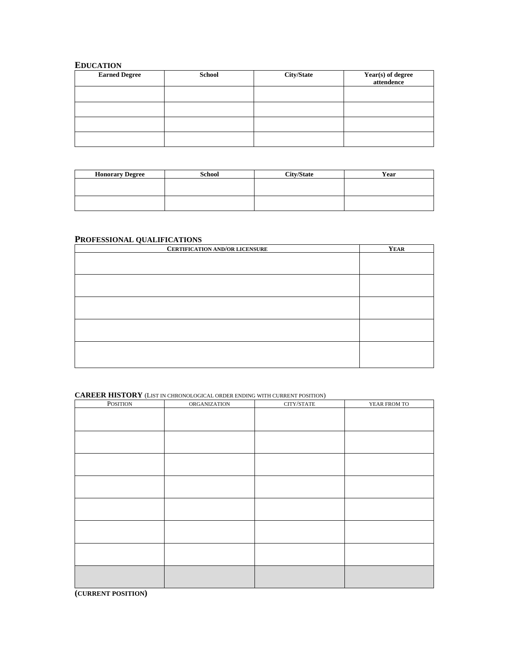## **EDUCATION**

| <b>Earned Degree</b> | <b>School</b> | <b>City/State</b> | Year(s) of degree<br>attendence |
|----------------------|---------------|-------------------|---------------------------------|
|                      |               |                   |                                 |
|                      |               |                   |                                 |
|                      |               |                   |                                 |
|                      |               |                   |                                 |

| <b>Honorary Degree</b> | <b>School</b> | <b>City/State</b> | Year |
|------------------------|---------------|-------------------|------|
|                        |               |                   |      |
|                        |               |                   |      |
|                        |               |                   |      |
|                        |               |                   |      |

## **PROFESSIONAL QUALIFICATIONS**

| <b>CERTIFICATION AND/OR LICENSURE</b> | <b>YEAR</b> |
|---------------------------------------|-------------|
|                                       |             |
|                                       |             |
|                                       |             |
|                                       |             |
|                                       |             |
|                                       |             |
|                                       |             |
|                                       |             |
|                                       |             |
|                                       |             |
|                                       |             |

#### **CAREER HISTORY** (LIST IN CHRONOLOGICAL ORDER ENDING WITH CURRENT POSITION)

| POSITION | ORGANIZATION | $\text{CITY/STATE}$ | YEAR FROM TO |
|----------|--------------|---------------------|--------------|
|          |              |                     |              |
|          |              |                     |              |
|          |              |                     |              |
|          |              |                     |              |
|          |              |                     |              |
|          |              |                     |              |
|          |              |                     |              |
|          |              |                     |              |
|          |              |                     |              |
|          |              |                     |              |
|          |              |                     |              |
|          |              |                     |              |
|          |              |                     |              |
|          |              |                     |              |
|          |              |                     |              |
|          |              |                     |              |

**(CURRENT POSITION)**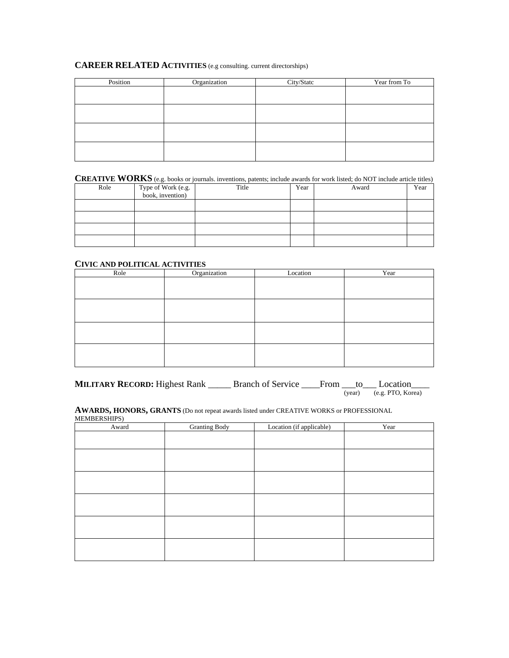### **CAREER RELATED ACTIVITIES** (e.g consulting. current directorships)

| Position | Organization | City/Statc | Year from To |
|----------|--------------|------------|--------------|
|          |              |            |              |
|          |              |            |              |
|          |              |            |              |
|          |              |            |              |
|          |              |            |              |
|          |              |            |              |
|          |              |            |              |
|          |              |            |              |

## **CREATIVE WORKS** (e.g. books or journals. inventions, patents; include awards for work listed; do NOT include article titles)

| Role | Type of Work (e.g.<br>book, invention) | Title | Year | Award | Year |
|------|----------------------------------------|-------|------|-------|------|
|      |                                        |       |      |       |      |
|      |                                        |       |      |       |      |
|      |                                        |       |      |       |      |
|      |                                        |       |      |       |      |

#### **CIVIC AND POLITICAL ACTIVITIES**

| Role | Organization | Location | Year |
|------|--------------|----------|------|
|      |              |          |      |
|      |              |          |      |
|      |              |          |      |
|      |              |          |      |
|      |              |          |      |
|      |              |          |      |
|      |              |          |      |
|      |              |          |      |

**MILITARY RECORD:** Highest Rank \_\_\_\_\_\_ Branch of Service \_\_\_\_From \_\_\_to\_\_\_ Location\_  $\overline{(year)}$   $\overline{(e.g. PTO, Korea)}$ 

**AWARDS, HONORS, GRANTS** (Do not repeat awards listed under CREATIVE WORKS or PROFESSIONAL MEMBERSHIPS)

| $\sim$ $\sim$<br>Award | <b>Granting Body</b> | Location (if applicable) | Year |
|------------------------|----------------------|--------------------------|------|
|                        |                      |                          |      |
|                        |                      |                          |      |
|                        |                      |                          |      |
|                        |                      |                          |      |
|                        |                      |                          |      |
|                        |                      |                          |      |
|                        |                      |                          |      |
|                        |                      |                          |      |
|                        |                      |                          |      |
|                        |                      |                          |      |
|                        |                      |                          |      |
|                        |                      |                          |      |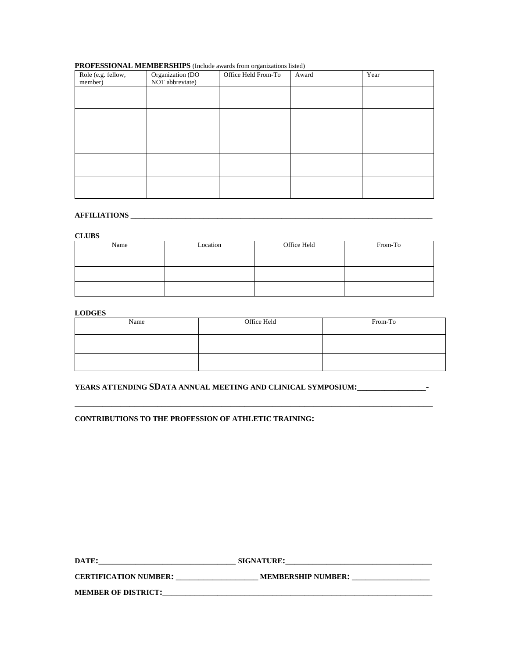#### **PROFESSIONAL MEMBERSHIPS** (Include awards from organizations listed)

| Role (e.g. fellow,<br>member) | Organization (DO<br>NOT abbreviate) | Office Held From-To | Award | Year |
|-------------------------------|-------------------------------------|---------------------|-------|------|
|                               |                                     |                     |       |      |
|                               |                                     |                     |       |      |
|                               |                                     |                     |       |      |
|                               |                                     |                     |       |      |
|                               |                                     |                     |       |      |
|                               |                                     |                     |       |      |

# **AFFILIATIONS** \_\_\_\_\_\_\_\_\_\_\_\_\_\_\_\_\_\_\_\_\_\_\_\_\_\_\_\_\_\_\_\_\_\_\_\_\_\_\_\_\_\_\_\_\_\_\_\_\_\_\_\_\_\_\_\_\_\_\_\_\_\_\_\_\_\_

#### **CLUBS**

| Name | Location | Office Held | From-To |
|------|----------|-------------|---------|
|      |          |             |         |
|      |          |             |         |
|      |          |             |         |
|      |          |             |         |
|      |          |             |         |
|      |          |             |         |

#### **LODGES**

| Name | Office Held | From-To |
|------|-------------|---------|
|      |             |         |
|      |             |         |

## **YEARS ATTENDING SDATA ANNUAL MEETING AND CLINICAL SYMPOSIUM:\_\_\_\_\_\_\_\_\_\_\_\_\_\_\_**-

\_\_\_\_\_\_\_\_\_\_\_\_\_\_\_\_\_\_\_\_\_\_\_\_\_\_\_\_\_\_\_\_\_\_\_\_\_\_\_\_\_\_\_\_\_\_\_\_\_\_\_\_\_\_\_\_\_\_\_\_\_\_\_\_\_\_\_\_\_\_\_\_\_\_\_\_\_\_

#### **CONTRIBUTIONS TO THE PROFESSION OF ATHLETIC TRAINING:**

| DATE:                        | <b>SIGNATURE:</b>         |
|------------------------------|---------------------------|
| <b>CERTIFICATION NUMBER:</b> | <b>MEMBERSHIP NUMBER:</b> |
| <b>MEMBER OF DISTRICT:</b>   |                           |